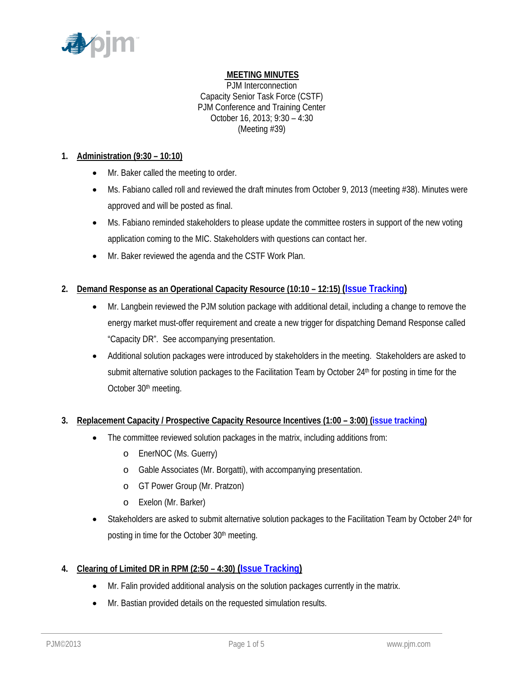

# **MEETING MINUTES**

PJM Interconnection Capacity Senior Task Force (CSTF) PJM Conference and Training Center October 16, 2013; 9:30 – 4:30 (Meeting #39)

### **1. Administration (9:30 – 10:10)**

- Mr. Baker called the meeting to order.
- Ms. Fabiano called roll and reviewed the draft minutes from October 9, 2013 (meeting #38). Minutes were approved and will be posted as final.
- Ms. Fabiano reminded stakeholders to please update the committee rosters in support of the new voting application coming to the MIC. Stakeholders with questions can contact her.
- Mr. Baker reviewed the agenda and the CSTF Work Plan.

# **2. Demand Response as an Operational Capacity Resource (10:10 – 12:15) (Issue Tracking)**

- Mr. Langbein reviewed the PJM solution package with additional detail, including a change to remove the energy market must-offer requirement and create a new trigger for dispatching Demand Response called "Capacity DR". See accompanying presentation.
- Additional solution packages were introduced by stakeholders in the meeting. Stakeholders are asked to submit alternative solution packages to the Facilitation Team by October 24<sup>th</sup> for posting in time for the October 30<sup>th</sup> meeting.

# **3. Replacement Capacity / Prospective Capacity Resource Incentives (1:00 – 3:00) (issue tracking)**

- The committee reviewed solution packages in the matrix, including additions from:
	- o EnerNOC (Ms. Guerry)
	- o Gable Associates (Mr. Borgatti), with accompanying presentation.
	- o GT Power Group (Mr. Pratzon)
	- o Exelon (Mr. Barker)
- $\bullet$  Stakeholders are asked to submit alternative solution packages to the Facilitation Team by October 24<sup>th</sup> for posting in time for the October 30<sup>th</sup> meeting.

# **4. Clearing of Limited DR in RPM (2:50 – 4:30) (Issue Tracking)**

- Mr. Falin provided additional analysis on the solution packages currently in the matrix.
- Mr. Bastian provided details on the requested simulation results.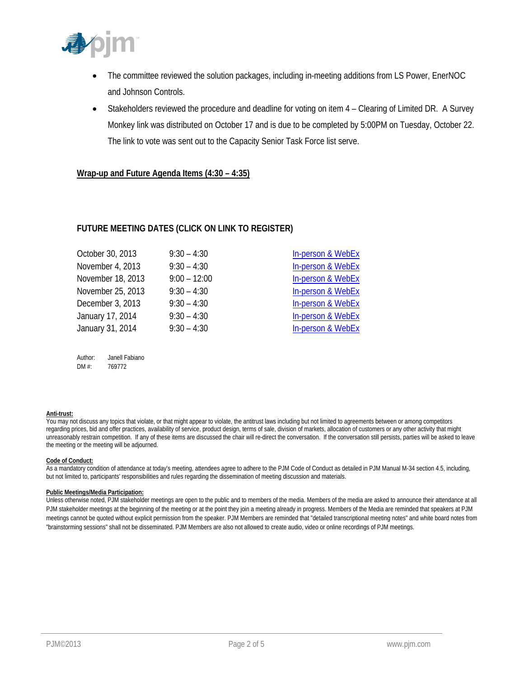

- The committee reviewed the solution packages, including in-meeting additions from LS Power, EnerNOC and Johnson Controls.
- Stakeholders reviewed the procedure and deadline for voting on item 4 Clearing of Limited DR. A Survey Monkey link was distributed on October 17 and is due to be completed by 5:00PM on Tuesday, October 22. The link to vote was sent out to the Capacity Senior Task Force list serve.

#### **Wrap-up and Future Agenda Items (4:30 – 4:35)**

### **FUTURE MEETING DATES (CLICK ON LINK TO REGISTER)**

| October 30, 2013  | $9:30 - 4:30$  | In-person & WebEx            |
|-------------------|----------------|------------------------------|
| November 4, 2013  | $9:30 - 4:30$  | In-person & WebEx            |
| November 18, 2013 | $9:00 - 12:00$ | In-person & WebEx            |
| November 25, 2013 | $9:30 - 4:30$  | In-person & WebEx            |
| December 3, 2013  | $9:30 - 4:30$  | <b>In-person &amp; WebEx</b> |
| January 17, 2014  | $9:30 - 4:30$  | <b>In-person &amp; WebEx</b> |
| January 31, 2014  | $9:30 - 4:30$  | In-person & WebEx            |
|                   |                |                              |

Author: Janell Fabiano DM #: 769772

#### **Anti-trust:**

You may not discuss any topics that violate, or that might appear to violate, the antitrust laws including but not limited to agreements between or among competitors regarding prices, bid and offer practices, availability of service, product design, terms of sale, division of markets, allocation of customers or any other activity that might unreasonably restrain competition. If any of these items are discussed the chair will re-direct the conversation. If the conversation still persists, parties will be asked to leave the meeting or the meeting will be adjourned.

#### **Code of Conduct:**

As a mandatory condition of attendance at today's meeting, attendees agree to adhere to the PJM Code of Conduct as detailed in PJM Manual M-34 section 4.5, including, but not limited to, participants' responsibilities and rules regarding the dissemination of meeting discussion and materials.

#### **Public Meetings/Media Participation:**

Unless otherwise noted, PJM stakeholder meetings are open to the public and to members of the media. Members of the media are asked to announce their attendance at all PJM stakeholder meetings at the beginning of the meeting or at the point they join a meeting already in progress. Members of the Media are reminded that speakers at PJM meetings cannot be quoted without explicit permission from the speaker. PJM Members are reminded that "detailed transcriptional meeting notes" and white board notes from "brainstorming sessions" shall not be disseminated. PJM Members are also not allowed to create audio, video or online recordings of PJM meetings.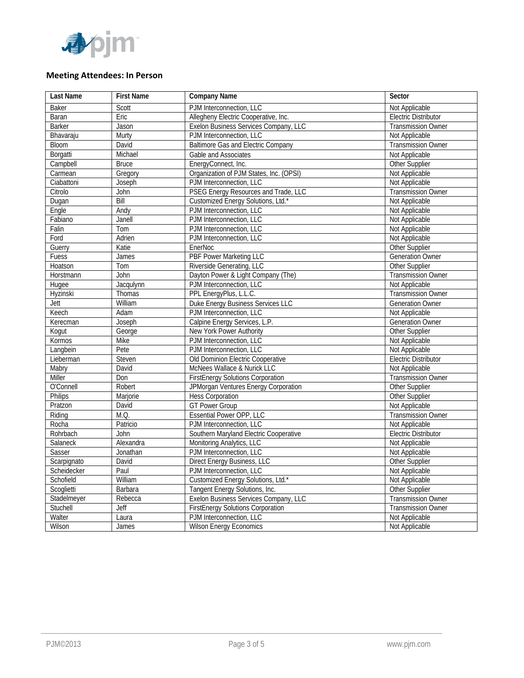

### **Meeting Attendees: In Person**

| Last Name     | <b>First Name</b> | <b>Company Name</b>                       | Sector                      |
|---------------|-------------------|-------------------------------------------|-----------------------------|
| <b>Baker</b>  | Scott             | PJM Interconnection, LLC                  | Not Applicable              |
| Baran         | Eric              | Allegheny Electric Cooperative, Inc.      | <b>Electric Distributor</b> |
| <b>Barker</b> | Jason             | Exelon Business Services Company, LLC     | <b>Transmission Owner</b>   |
| Bhavaraju     | Murty             | PJM Interconnection, LLC                  | Not Applicable              |
| <b>Bloom</b>  | David             | <b>Baltimore Gas and Electric Company</b> | Transmission Owner          |
| Borgatti      | Michael           | Gable and Associates                      | Not Applicable              |
| Campbell      | <b>Bruce</b>      | EnergyConnect, Inc.                       | Other Supplier              |
| Carmean       | Gregory           | Organization of PJM States, Inc. (OPSI)   | Not Applicable              |
| Ciabattoni    | Joseph            | PJM Interconnection, LLC                  | Not Applicable              |
| Citrolo       | John              | PSEG Energy Resources and Trade, LLC      | <b>Transmission Owner</b>   |
| Dugan         | Bill              | Customized Energy Solutions, Ltd.*        | Not Applicable              |
| Engle         | Andy              | PJM Interconnection, LLC                  | Not Applicable              |
| Fabiano       | Janell            | PJM Interconnection, LLC                  | Not Applicable              |
| Falin         | Tom               | PJM Interconnection, LLC                  | Not Applicable              |
| Ford          | Adrien            | PJM Interconnection, LLC                  | Not Applicable              |
| Guerry        | Katie             | EnerNoc                                   | Other Supplier              |
| Fuess         | James             | <b>PBF Power Marketing LLC</b>            | <b>Generation Owner</b>     |
| Hoatson       | Tom               | Riverside Generating, LLC                 | Other Supplier              |
| Horstmann     | John              | Dayton Power & Light Company (The)        | <b>Transmission Owner</b>   |
| Hugee         | Jacqulynn         | PJM Interconnection, LLC                  | Not Applicable              |
| Hyzinski      | Thomas            | PPL EnergyPlus, L.L.C.                    | <b>Transmission Owner</b>   |
| Jett          | William           | Duke Energy Business Services LLC         | <b>Generation Owner</b>     |
| Keech         | Adam              | PJM Interconnection, LLC                  | Not Applicable              |
| Kerecman      | Joseph            | Calpine Energy Services, L.P.             | <b>Generation Owner</b>     |
| Kogut         | George            | New York Power Authority                  | Other Supplier              |
| Kormos        | <b>Mike</b>       | PJM Interconnection, LLC                  | Not Applicable              |
| Langbein      | Pete              | PJM Interconnection, LLC                  | Not Applicable              |
| Lieberman     | Steven            | Old Dominion Electric Cooperative         | <b>Electric Distributor</b> |
| Mabry         | David             | McNees Wallace & Nurick LLC               | Not Applicable              |
| Miller        | Don               | <b>FirstEnergy Solutions Corporation</b>  | <b>Transmission Owner</b>   |
| O'Connell     | Robert            | JPMorgan Ventures Energy Corporation      | Other Supplier              |
| Philips       | Marjorie          | <b>Hess Corporation</b>                   | Other Supplier              |
| Pratzon       | David             | <b>GT Power Group</b>                     | Not Applicable              |
| Riding        | M.Q.              | <b>Essential Power OPP, LLC</b>           | Transmission Owner          |
| Rocha         | Patricio          | PJM Interconnection, LLC                  | Not Applicable              |
| Rohrbach      | John              | Southern Maryland Electric Cooperative    | <b>Electric Distributor</b> |
| Salaneck      | Alexandra         | Monitoring Analytics, LLC                 | Not Applicable              |
| Sasser        | Jonathan          | PJM Interconnection, LLC                  | Not Applicable              |
| Scarpignato   | David             | Direct Energy Business, LLC               | Other Supplier              |
| Scheidecker   | Paul              | PJM Interconnection, LLC                  | Not Applicable              |
| Schofield     | William           | Customized Energy Solutions, Ltd.*        | Not Applicable              |
| Scoglietti    | <b>Barbara</b>    | Tangent Energy Solutions, Inc.            | Other Supplier              |
| Stadelmeyer   | Rebecca           | Exelon Business Services Company, LLC     | <b>Transmission Owner</b>   |
| Stuchell      | Jeff              | <b>FirstEnergy Solutions Corporation</b>  | <b>Transmission Owner</b>   |
| Walter        | Laura             | PJM Interconnection, LLC                  | Not Applicable              |
| Wilson        | James             | <b>Wilson Energy Economics</b>            | Not Applicable              |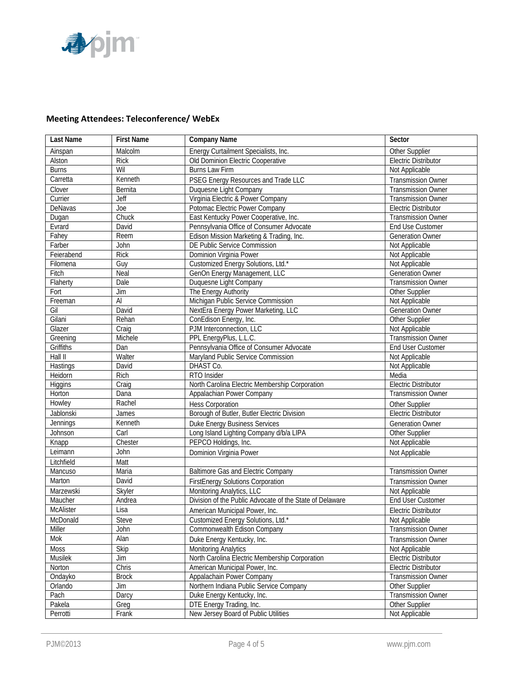

# **Meeting Attendees: Teleconference/ WebEx**

| Last Name        | <b>First Name</b> | <b>Company Name</b>                                      | Sector                      |
|------------------|-------------------|----------------------------------------------------------|-----------------------------|
| Ainspan          | Malcolm           | Energy Curtailment Specialists, Inc.                     | Other Supplier              |
| Alston           | <b>Rick</b>       | Old Dominion Electric Cooperative                        | <b>Electric Distributor</b> |
| <b>Burns</b>     | Wil               | <b>Burns Law Firm</b>                                    | Not Applicable              |
| Carretta         | Kenneth           | PSEG Energy Resources and Trade LLC                      | <b>Transmission Owner</b>   |
| Clover           | Bernita           | Duquesne Light Company                                   | <b>Transmission Owner</b>   |
| Currier          | <b>Jeff</b>       | Virginia Electric & Power Company                        | <b>Transmission Owner</b>   |
| DeNavas          | Joe               | Potomac Electric Power Company                           | <b>Electric Distributor</b> |
| Dugan            | Chuck             | East Kentucky Power Cooperative, Inc.                    | <b>Transmission Owner</b>   |
| Evrard           | David             | Pennsylvania Office of Consumer Advocate                 | End Use Customer            |
| Fahey            | Reem              | Edison Mission Marketing & Trading, Inc.                 | <b>Generation Owner</b>     |
| Farber           | John              | DE Public Service Commission                             | Not Applicable              |
| Feierabend       | <b>Rick</b>       | Dominion Virginia Power                                  | Not Applicable              |
| Filomena         | Guy               | Customized Energy Solutions, Ltd.*                       | Not Applicable              |
| Fitch            | Neal              | GenOn Energy Management, LLC                             | <b>Generation Owner</b>     |
| Flaherty         | Dale              | Duquesne Light Company                                   | <b>Transmission Owner</b>   |
| Fort             | Jim               | The Energy Authority                                     | Other Supplier              |
| Freeman          | $\overline{A}$    | Michigan Public Service Commission                       | Not Applicable              |
| Gil              | David             | NextEra Energy Power Marketing, LLC                      | <b>Generation Owner</b>     |
| Gilani           | Rehan             | ConEdison Energy, Inc.                                   | Other Supplier              |
| Glazer           | Craig             | PJM Interconnection, LLC                                 | Not Applicable              |
| Greening         | Michele           | PPL EnergyPlus, L.L.C.                                   | <b>Transmission Owner</b>   |
| Griffiths        | Dan               | Pennsylvania Office of Consumer Advocate                 | <b>End User Customer</b>    |
| Hall II          | Walter            | Maryland Public Service Commission                       | Not Applicable              |
| <b>Hastings</b>  | David             | DHAST Co.                                                | Not Applicable              |
| Heidorn          | Rich              | RTO Insider                                              | Media                       |
| Higgins          | Craig             | North Carolina Electric Membership Corporation           | <b>Electric Distributor</b> |
| Horton           | Dana              | Appalachian Power Company                                | <b>Transmission Owner</b>   |
| Howley           | Rachel            | <b>Hess Corporation</b>                                  | Other Supplier              |
| Jablonski        | James             | Borough of Butler, Butler Electric Division              | <b>Electric Distributor</b> |
| Jennings         | Kenneth           | <b>Duke Energy Business Services</b>                     | <b>Generation Owner</b>     |
| Johnson          | Carl              | Long Island Lighting Company d/b/a LIPA                  | Other Supplier              |
| Knapp            | Chester           | PEPCO Holdings, Inc.                                     | Not Applicable              |
| Leimann          | John              | Dominion Virginia Power                                  | Not Applicable              |
| Litchfield       | Matt              |                                                          |                             |
| Mancuso          | Maria             | <b>Baltimore Gas and Electric Company</b>                | <b>Transmission Owner</b>   |
| Marton           | David             | <b>FirstEnergy Solutions Corporation</b>                 | <b>Transmission Owner</b>   |
| Marzewski        | Skyler            | Monitoring Analytics, LLC                                | Not Applicable              |
| Maucher          | Andrea            | Division of the Public Advocate of the State of Delaware | <b>End User Customer</b>    |
| <b>McAlister</b> | Lisa              | American Municipal Power, Inc.                           | <b>Electric Distributor</b> |
| McDonald         | Steve             | Customized Energy Solutions, Ltd.                        | Not Applicable              |
| Miller           | John              | Commonwealth Edison Company                              | <b>Transmission Owner</b>   |
| Mok              | Alan              | Duke Energy Kentucky, Inc.                               | <b>Transmission Owner</b>   |
| Moss             | Skip              | <b>Monitoring Analytics</b>                              | Not Applicable              |
| Musilek          | $\mathsf{Jim}$    | North Carolina Electric Membership Corporation           | Electric Distributor        |
| Norton           | Chris             | American Municipal Power, Inc.                           | Electric Distributor        |
| Ondayko          | <b>Brock</b>      | Appalachain Power Company                                | <b>Transmission Owner</b>   |
| Orlando          | Jim               | Northern Indiana Public Service Company                  | Other Supplier              |
| Pach             | Darcy             | Duke Energy Kentucky, Inc.                               | <b>Transmission Owner</b>   |
| Pakela           | Greg              | DTE Energy Trading, Inc.                                 | Other Supplier              |
| Perrotti         | Frank             | New Jersey Board of Public Utilities                     | Not Applicable              |